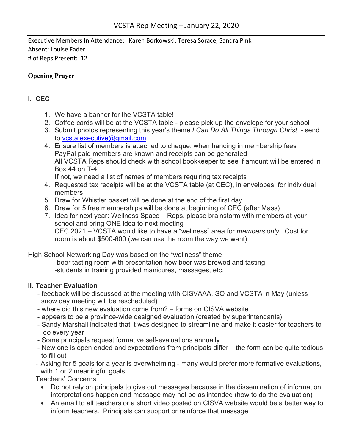Executive Members In Attendance: Karen Borkowski, Teresa Sorace, Sandra Pink Absent: Louise Fader # of Reps Present: 12

## **Opening Prayer**

## **I. CEC**

- 1. We have a banner for the VCSTA table!
- 2. Coffee cards will be at the VCSTA table please pick up the envelope for your school
- 3. Submit photos representing this year's theme *I Can Do All Things Through Christ* send to vcsta.executive@gmail.com
- 4. Ensure list of members is attached to cheque, when handing in membership fees PayPal paid members are known and receipts can be generated All VCSTA Reps should check with school bookkeeper to see if amount will be entered in Box 44 on T-4
	- If not, we need a list of names of members requiring tax receipts
- 4. Requested tax receipts will be at the VCSTA table (at CEC), in envelopes, for individual members
- 5. Draw for Whistler basket will be done at the end of the first day
- 6. Draw for 5 free memberships will be done at beginning of CEC (after Mass)
- 7. Idea for next year: Wellness Space Reps, please brainstorm with members at your school and bring ONE idea to next meeting CEC 2021 – VCSTA would like to have a "wellness" area for *members only.* Cost for room is about \$500-600 (we can use the room the way we want)

High School Networking Day was based on the "wellness" theme

-beer tasting room with presentation how beer was brewed and tasting -students in training provided manicures, massages, etc.

# **II. Teacher Evaluation**

- feedback will be discussed at the meeting with CISVAAA, SO and VCSTA in May (unless snow day meeting will be rescheduled)
- where did this new evaluation come from? forms on CISVA website
- appears to be a province-wide designed evaluation (created by superintendants)
- Sandy Marshall indicated that it was designed to streamline and make it easier for teachers to do every year
- Some principals request formative self-evaluations annually
- New one is open ended and expectations from principals differ the form can be quite tedious to fill out
- Asking for 5 goals for a year is overwhelming many would prefer more formative evaluations, with 1 or 2 meaningful goals

Teachers' Concerns

- Do not rely on principals to give out messages because in the dissemination of information, interpretations happen and message may not be as intended (how to do the evaluation)
- An email to all teachers or a short video posted on CISVA website would be a better way to inform teachers. Principals can support or reinforce that message